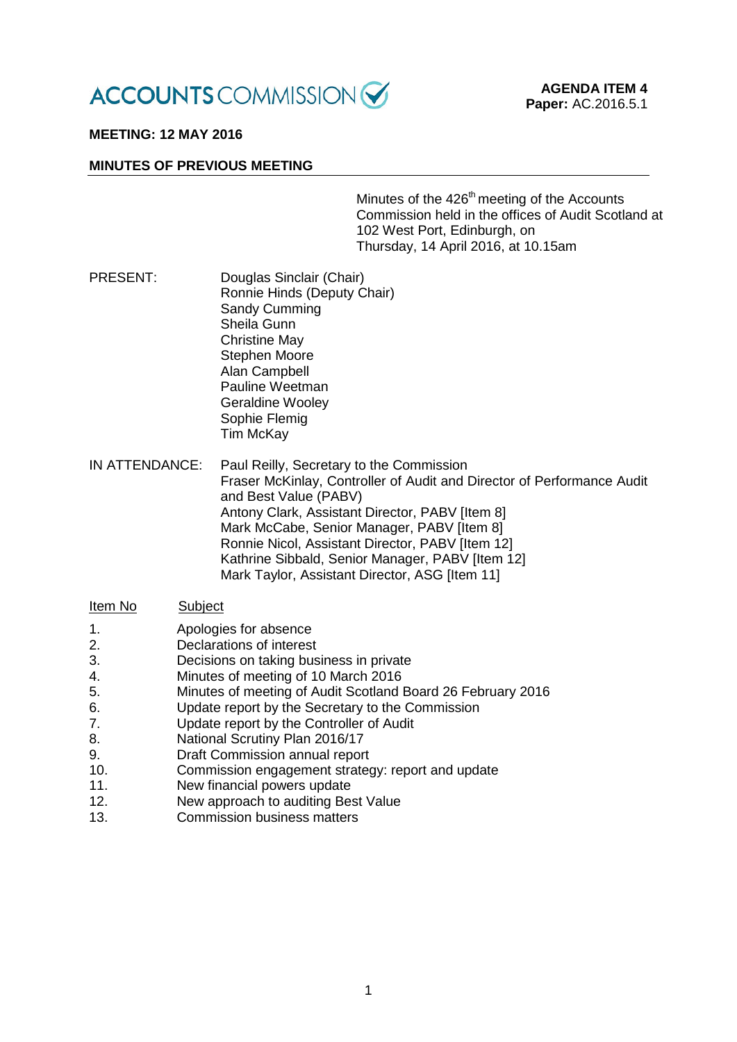

# **MEETING: 12 MAY 2016**

### **MINUTES OF PREVIOUS MEETING**

Minutes of the 426<sup>th</sup> meeting of the Accounts Commission held in the offices of Audit Scotland at 102 West Port, Edinburgh, on Thursday, 14 April 2016, at 10.15am

- PRESENT: Douglas Sinclair (Chair) Ronnie Hinds (Deputy Chair) Sandy Cumming Sheila Gunn Christine May Stephen Moore Alan Campbell Pauline Weetman Geraldine Wooley Sophie Flemig Tim McKay
- IN ATTENDANCE: Paul Reilly, Secretary to the Commission Fraser McKinlay, Controller of Audit and Director of Performance Audit and Best Value (PABV) Antony Clark, Assistant Director, PABV [Item 8] Mark McCabe, Senior Manager, PABV [Item 8] Ronnie Nicol, Assistant Director, PABV [Item 12] Kathrine Sibbald, Senior Manager, PABV [Item 12] Mark Taylor, Assistant Director, ASG [Item 11]

### Item No Subject

- 1. Apologies for absence<br>2. Declarations of interest
- Declarations of interest
- 3. Decisions on taking business in private
- 4. Minutes of meeting of 10 March 2016
- 5. Minutes of meeting of Audit Scotland Board 26 February 2016
- 6. Update report by the Secretary to the Commission
- 7. Update report by the Controller of Audit
- 8. National Scrutiny Plan 2016/17<br>9 Draft Commission annual report
- Draft Commission annual report
- 10. Commission engagement strategy: report and update
- 11. New financial powers update
- 12. New approach to auditing Best Value
- 13. Commission business matters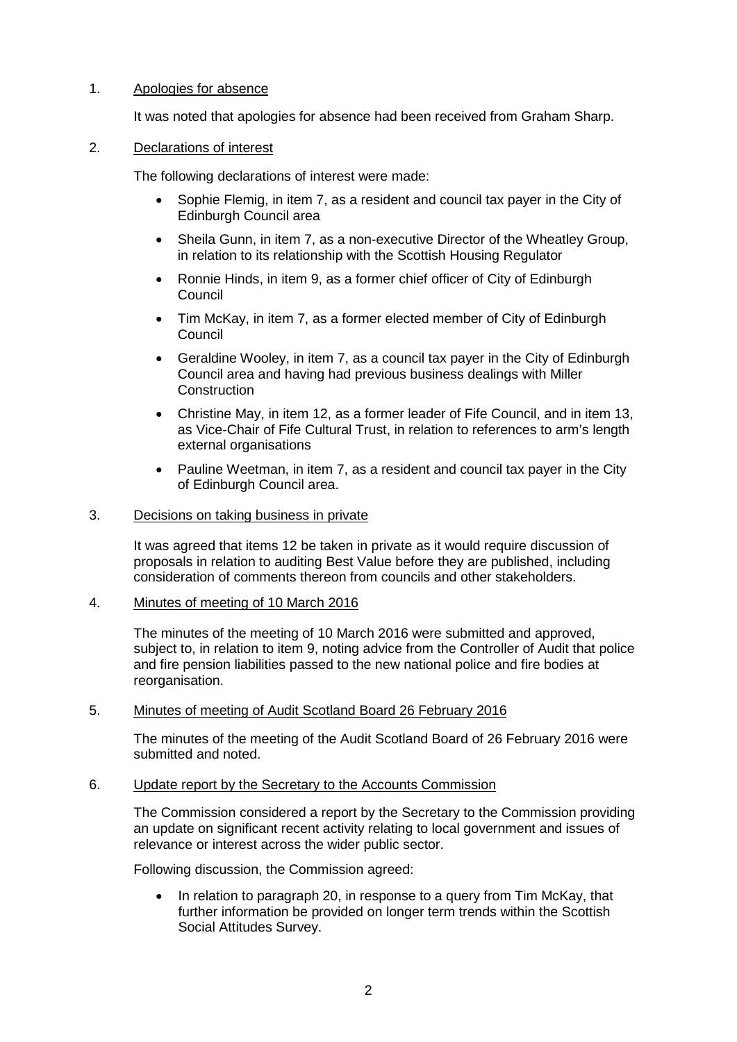## 1. Apologies for absence

It was noted that apologies for absence had been received from Graham Sharp.

## 2. Declarations of interest

The following declarations of interest were made:

- Sophie Flemig, in item 7, as a resident and council tax payer in the City of Edinburgh Council area
- Sheila Gunn, in item 7, as a non-executive Director of the Wheatley Group, in relation to its relationship with the Scottish Housing Regulator
- Ronnie Hinds, in item 9, as a former chief officer of City of Edinburgh Council
- Tim McKay, in item 7, as a former elected member of City of Edinburgh **Council**
- Geraldine Wooley, in item 7, as a council tax payer in the City of Edinburgh Council area and having had previous business dealings with Miller **Construction**
- Christine May, in item 12, as a former leader of Fife Council, and in item 13, as Vice-Chair of Fife Cultural Trust, in relation to references to arm's length external organisations
- Pauline Weetman, in item 7, as a resident and council tax payer in the City of Edinburgh Council area.

### 3. Decisions on taking business in private

It was agreed that items 12 be taken in private as it would require discussion of proposals in relation to auditing Best Value before they are published, including consideration of comments thereon from councils and other stakeholders.

4. Minutes of meeting of 10 March 2016

The minutes of the meeting of 10 March 2016 were submitted and approved, subject to, in relation to item 9, noting advice from the Controller of Audit that police and fire pension liabilities passed to the new national police and fire bodies at reorganisation.

### 5. Minutes of meeting of Audit Scotland Board 26 February 2016

The minutes of the meeting of the Audit Scotland Board of 26 February 2016 were submitted and noted.

### 6. Update report by the Secretary to the Accounts Commission

The Commission considered a report by the Secretary to the Commission providing an update on significant recent activity relating to local government and issues of relevance or interest across the wider public sector.

Following discussion, the Commission agreed:

• In relation to paragraph 20, in response to a query from Tim McKay, that further information be provided on longer term trends within the Scottish Social Attitudes Survey.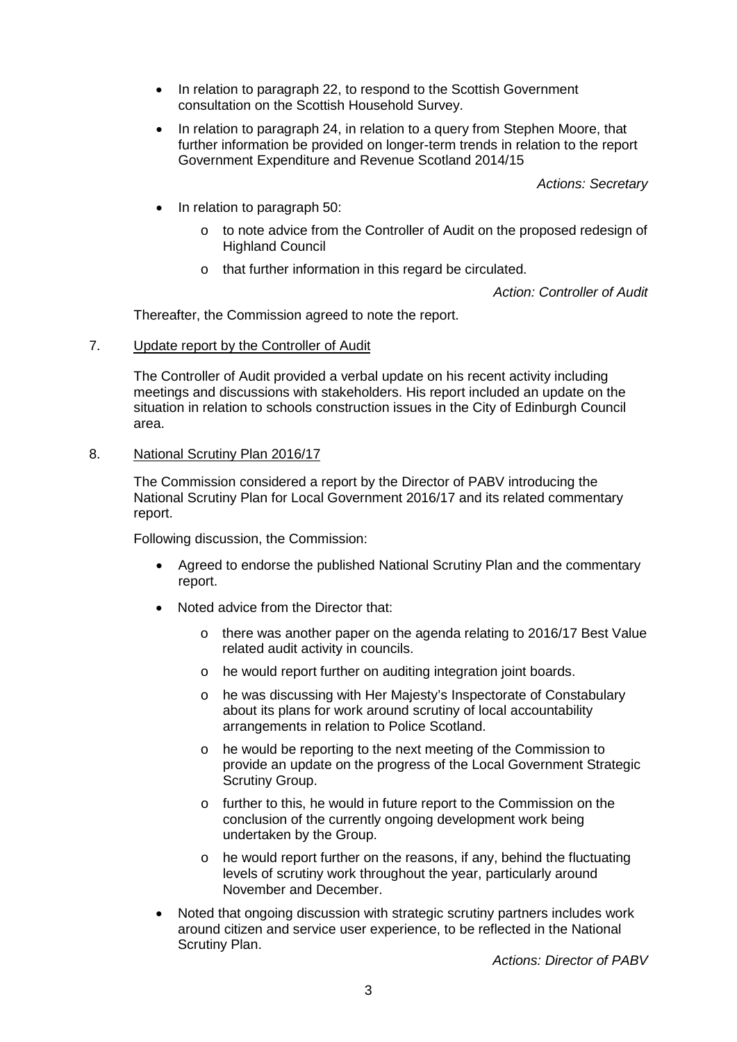- In relation to paragraph 22, to respond to the Scottish Government consultation on the Scottish Household Survey.
- In relation to paragraph 24, in relation to a query from Stephen Moore, that further information be provided on longer-term trends in relation to the report Government Expenditure and Revenue Scotland 2014/15

*Actions: Secretary*

- In relation to paragraph 50:
	- o to note advice from the Controller of Audit on the proposed redesign of Highland Council
	- o that further information in this regard be circulated.

*Action: Controller of Audit*

Thereafter, the Commission agreed to note the report.

7. Update report by the Controller of Audit

The Controller of Audit provided a verbal update on his recent activity including meetings and discussions with stakeholders. His report included an update on the situation in relation to schools construction issues in the City of Edinburgh Council area.

8. National Scrutiny Plan 2016/17

The Commission considered a report by the Director of PABV introducing the National Scrutiny Plan for Local Government 2016/17 and its related commentary report.

Following discussion, the Commission:

- Agreed to endorse the published National Scrutiny Plan and the commentary report.
- Noted advice from the Director that:
	- o there was another paper on the agenda relating to 2016/17 Best Value related audit activity in councils.
	- o he would report further on auditing integration joint boards.
	- o he was discussing with Her Majesty's Inspectorate of Constabulary about its plans for work around scrutiny of local accountability arrangements in relation to Police Scotland.
	- o he would be reporting to the next meeting of the Commission to provide an update on the progress of the Local Government Strategic Scrutiny Group.
	- o further to this, he would in future report to the Commission on the conclusion of the currently ongoing development work being undertaken by the Group.
	- o he would report further on the reasons, if any, behind the fluctuating levels of scrutiny work throughout the year, particularly around November and December.
- Noted that ongoing discussion with strategic scrutiny partners includes work around citizen and service user experience, to be reflected in the National Scrutiny Plan.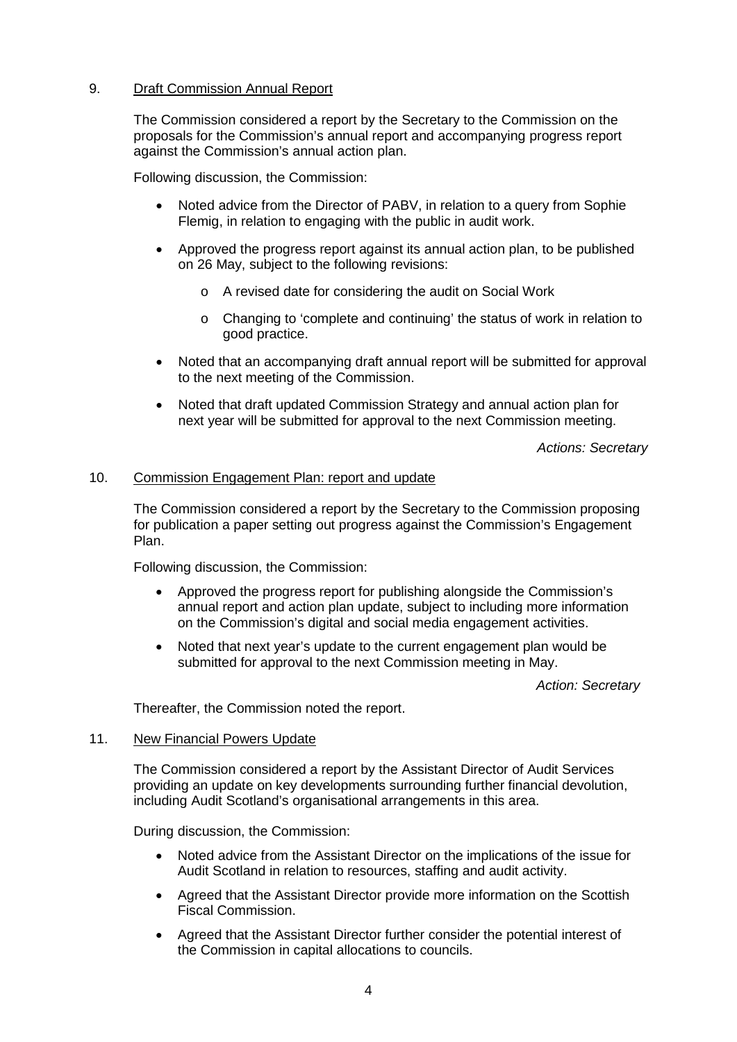### 9. Draft Commission Annual Report

The Commission considered a report by the Secretary to the Commission on the proposals for the Commission's annual report and accompanying progress report against the Commission's annual action plan.

Following discussion, the Commission:

- Noted advice from the Director of PABV, in relation to a query from Sophie Flemig, in relation to engaging with the public in audit work.
- Approved the progress report against its annual action plan, to be published on 26 May, subject to the following revisions:
	- o A revised date for considering the audit on Social Work
	- o Changing to 'complete and continuing' the status of work in relation to good practice.
- Noted that an accompanying draft annual report will be submitted for approval to the next meeting of the Commission.
- Noted that draft updated Commission Strategy and annual action plan for next year will be submitted for approval to the next Commission meeting.

*Actions: Secretary*

### 10. Commission Engagement Plan: report and update

The Commission considered a report by the Secretary to the Commission proposing for publication a paper setting out progress against the Commission's Engagement Plan.

Following discussion, the Commission:

- Approved the progress report for publishing alongside the Commission's annual report and action plan update, subject to including more information on the Commission's digital and social media engagement activities.
- Noted that next year's update to the current engagement plan would be submitted for approval to the next Commission meeting in May.

*Action: Secretary*

Thereafter, the Commission noted the report.

### 11. New Financial Powers Update

The Commission considered a report by the Assistant Director of Audit Services providing an update on key developments surrounding further financial devolution, including Audit Scotland's organisational arrangements in this area.

During discussion, the Commission:

- Noted advice from the Assistant Director on the implications of the issue for Audit Scotland in relation to resources, staffing and audit activity.
- Agreed that the Assistant Director provide more information on the Scottish Fiscal Commission.
- Agreed that the Assistant Director further consider the potential interest of the Commission in capital allocations to councils.